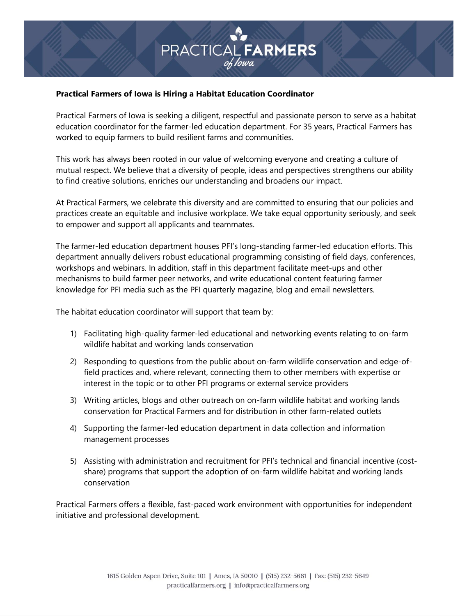# **FRACTICAL FARMERS**

# **Practical Farmers of Iowa is Hiring a Habitat Education Coordinator**

Practical Farmers of Iowa is seeking a diligent, respectful and passionate person to serve as a habitat education coordinator for the farmer-led education department. For 35 years, Practical Farmers has worked to equip farmers to build resilient farms and communities.

This work has always been rooted in our value of welcoming everyone and creating a culture of mutual respect. We believe that a diversity of people, ideas and perspectives strengthens our ability to find creative solutions, enriches our understanding and broadens our impact.

At Practical Farmers, we celebrate this diversity and are committed to ensuring that our policies and practices create an equitable and inclusive workplace. We take equal opportunity seriously, and seek to empower and support all applicants and teammates.

The farmer-led education department houses PFI's long-standing farmer-led education efforts. This department annually delivers robust educational programming consisting of field days, conferences, workshops and webinars. In addition, staff in this department facilitate meet-ups and other mechanisms to build farmer peer networks, and write educational content featuring farmer knowledge for PFI media such as the PFI quarterly magazine, blog and email newsletters.

The habitat education coordinator will support that team by:

- 1) Facilitating high-quality farmer-led educational and networking events relating to on-farm wildlife habitat and working lands conservation
- 2) Responding to questions from the public about on-farm wildlife conservation and edge-offield practices and, where relevant, connecting them to other members with expertise or interest in the topic or to other PFI programs or external service providers
- 3) Writing articles, blogs and other outreach on on-farm wildlife habitat and working lands conservation for Practical Farmers and for distribution in other farm-related outlets
- 4) Supporting the farmer-led education department in data collection and information management processes
- 5) Assisting with administration and recruitment for PFI's technical and financial incentive (costshare) programs that support the adoption of on-farm wildlife habitat and working lands conservation

Practical Farmers offers a flexible, fast-paced work environment with opportunities for independent initiative and professional development.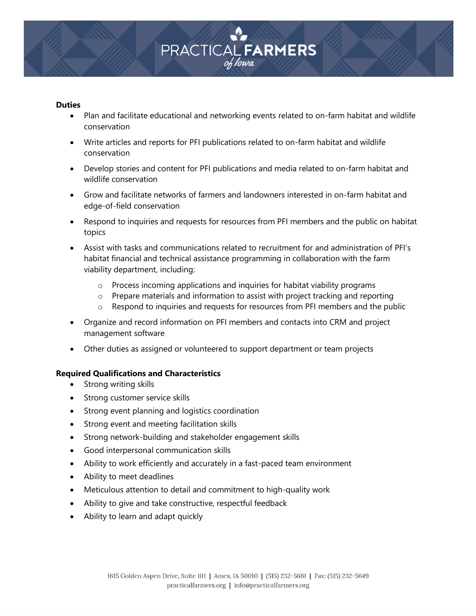# **PRACTICAL FARMERS**

#### **Duties**

- Plan and facilitate educational and networking events related to on-farm habitat and wildlife conservation
- Write articles and reports for PFI publications related to on-farm habitat and wildlife conservation
- Develop stories and content for PFI publications and media related to on-farm habitat and wildlife conservation
- Grow and facilitate networks of farmers and landowners interested in on-farm habitat and edge-of-field conservation
- Respond to inquiries and requests for resources from PFI members and the public on habitat topics
- Assist with tasks and communications related to recruitment for and administration of PFI's habitat financial and technical assistance programming in collaboration with the farm viability department, including:
	- o Process incoming applications and inquiries for habitat viability programs
	- $\circ$  Prepare materials and information to assist with project tracking and reporting
	- o Respond to inquiries and requests for resources from PFI members and the public
- Organize and record information on PFI members and contacts into CRM and project management software
- Other duties as assigned or volunteered to support department or team projects

## **Required Qualifications and Characteristics**

- Strong writing skills
- Strong customer service skills
- Strong event planning and logistics coordination
- Strong event and meeting facilitation skills
- Strong network-building and stakeholder engagement skills
- Good interpersonal communication skills
- Ability to work efficiently and accurately in a fast-paced team environment
- Ability to meet deadlines
- Meticulous attention to detail and commitment to high-quality work
- Ability to give and take constructive, respectful feedback
- Ability to learn and adapt quickly